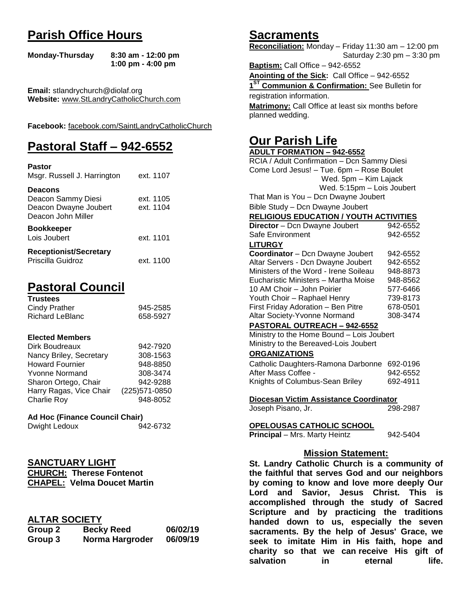# **Parish Office Hours**

```
Monday-Thursday 8:30 am - 12:00 pm
       1:00 pm - 4:00 pm
```
**Email:** stlandrychurch@diolaf.org **Website:** [www.StLandryCatholicChurch.com](http://www.stlandrycatholicchurch.com/)

**Facebook:** [facebook.com/SaintLandryCatholicChurch](http://facebook.com/SaintLandryCatholicChurch)

# **Pastoral Staff – 942-6552**

| <b>Pastor</b><br>Msgr. Russell J. Harrington                                        | ext. 1107              |
|-------------------------------------------------------------------------------------|------------------------|
| <b>Deacons</b><br>Deacon Sammy Diesi<br>Deacon Dwayne Joubert<br>Deacon John Miller | ext. 1105<br>ext. 1104 |
| <b>Bookkeeper</b><br>Lois Joubert                                                   | ext. 1101              |
| <b>Receptionist/Secretary</b><br>Priscilla Guidroz                                  | ext. 1100              |

# **Pastoral Council**

| <b>Trustees</b> |          |
|-----------------|----------|
| Cindy Prather   | 945-2585 |
| Richard LeBlanc | 658-5927 |

#### **Elected Members**

| Dirk Boudreaux          | 942-7920       |
|-------------------------|----------------|
| Nancy Briley, Secretary | 308-1563       |
| <b>Howard Fournier</b>  | 948-8850       |
| <b>Yvonne Normand</b>   | 308-3474       |
| Sharon Ortego, Chair    | 942-9288       |
| Harry Ragas, Vice Chair | (225) 571-0850 |
| <b>Charlie Roy</b>      | 948-8052       |

## **Ad Hoc (Finance Council Chair)**

| Dwight Ledoux | 942-6732 |
|---------------|----------|
|---------------|----------|

## **SANCTUARY LIGHT**

**CHURCH: Therese Fontenot CHAPEL: Velma Doucet Martin**

## **ALTAR SOCIETY**

| Group 2 | <b>Becky Reed</b> | 06/02/19 |
|---------|-------------------|----------|
| Group 3 | Norma Hargroder   | 06/09/19 |

## **Sacraments**

**Reconciliation:** Monday – Friday 11:30 am – 12:00 pm Saturday 2:30 pm – 3:30 pm

**Baptism:** Call Office – 942-6552 **Anointing of the Sick:** Call Office – 942-6552 **1 ST Communion & Confirmation:** See Bulletin for registration information. **Matrimony:** Call Office at least six months before planned wedding.

## **Our Parish Life**

| <b>ADULT FORMATION - 942-6552</b>              |          |
|------------------------------------------------|----------|
| RCIA / Adult Confirmation - Dcn Sammy Diesi    |          |
| Come Lord Jesus! - Tue. 6pm - Rose Boulet      |          |
| Wed. 5pm - Kim Lajack                          |          |
| Wed. 5:15pm - Lois Joubert                     |          |
| That Man is You - Dcn Dwayne Joubert           |          |
| Bible Study - Dcn Dwayne Joubert               |          |
| <b>RELIGIOUS EDUCATION / YOUTH ACTIVITIES</b>  |          |
| Director - Dcn Dwayne Joubert                  | 942-6552 |
| Safe Environment                               | 942-6552 |
| <b>LITURGY</b>                                 |          |
| Coordinator - Dcn Dwayne Joubert               | 942-6552 |
| Altar Servers - Dcn Dwayne Joubert             | 942-6552 |
| Ministers of the Word - Irene Soileau          | 948-8873 |
| Eucharistic Ministers - Martha Moise           | 948-8562 |
| 10 AM Choir - John Poirier                     | 577-6466 |
| Youth Choir - Raphael Henry                    | 739-8173 |
| First Friday Adoration - Ben Pitre             | 678-0501 |
| Altar Society-Yvonne Normand                   | 308-3474 |
| PASTORAL OUTREACH - 942-6552                   |          |
| Ministry to the Home Bound - Lois Joubert      |          |
| Ministry to the Bereaved-Lois Joubert          |          |
| <b>ORGANIZATIONS</b>                           |          |
| Catholic Daughters-Ramona Darbonne             | 692-0196 |
| After Mass Coffee -                            | 942-6552 |
| Knights of Columbus-Sean Briley                | 692-4911 |
|                                                |          |
| Diocesan Victim Assistance Coordinator         |          |
| Joseph Pisano, Jr.                             | 298-2987 |
|                                                |          |
| <b>OPELOUSAS CATHOLIC SCHOOL</b>               |          |
| <b>Principal</b> - Mrs. Marty Heintz           | 942-5404 |
|                                                |          |
| <b>Mission Statement:</b>                      |          |
| St. Landry Catholic Church is a community of   |          |
| the faithful that serves God and our neighbors |          |
| by coming to know and love more deeply Our     |          |
| Lord and Savior Jesus Christ This is           |          |

**by coming to know and love more deeply Our Lord and Savior, Jesus Christ. This is accomplished through the study of Sacred Scripture and by practicing the traditions handed down to us, especially the seven sacraments. By the help of Jesus' Grace, we seek to imitate Him in His faith, hope and charity so that we can receive His gift of salvation in** eternal life.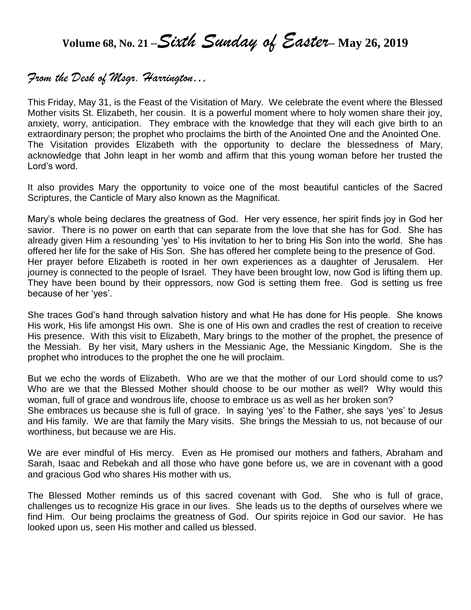**Volume 68, No. 21 –***Sixth Sunday of Easter***– May 26, <sup>2019</sup>**

## *From the Desk of Msgr. Harrington…*

This Friday, May 31, is the Feast of the Visitation of Mary. We celebrate the event where the Blessed Mother visits St. Elizabeth, her cousin. It is a powerful moment where to holy women share their joy, anxiety, worry, anticipation. They embrace with the knowledge that they will each give birth to an extraordinary person; the prophet who proclaims the birth of the Anointed One and the Anointed One. The Visitation provides Elizabeth with the opportunity to declare the blessedness of Mary, acknowledge that John leapt in her womb and affirm that this young woman before her trusted the Lord's word.

It also provides Mary the opportunity to voice one of the most beautiful canticles of the Sacred Scriptures, the Canticle of Mary also known as the Magnificat.

Mary's whole being declares the greatness of God. Her very essence, her spirit finds joy in God her savior. There is no power on earth that can separate from the love that she has for God. She has already given Him a resounding 'yes' to His invitation to her to bring His Son into the world. She has offered her life for the sake of His Son. She has offered her complete being to the presence of God. Her prayer before Elizabeth is rooted in her own experiences as a daughter of Jerusalem. Her journey is connected to the people of Israel. They have been brought low, now God is lifting them up. They have been bound by their oppressors, now God is setting them free. God is setting us free because of her 'yes'.

She traces God's hand through salvation history and what He has done for His people. She knows His work, His life amongst His own. She is one of His own and cradles the rest of creation to receive His presence. With this visit to Elizabeth, Mary brings to the mother of the prophet, the presence of the Messiah. By her visit, Mary ushers in the Messianic Age, the Messianic Kingdom. She is the prophet who introduces to the prophet the one he will proclaim.

But we echo the words of Elizabeth. Who are we that the mother of our Lord should come to us? Who are we that the Blessed Mother should choose to be our mother as well? Why would this woman, full of grace and wondrous life, choose to embrace us as well as her broken son? She embraces us because she is full of grace. In saying 'yes' to the Father, she says 'yes' to Jesus and His family. We are that family the Mary visits. She brings the Messiah to us, not because of our worthiness, but because we are His.

We are ever mindful of His mercy. Even as He promised our mothers and fathers, Abraham and Sarah, Isaac and Rebekah and all those who have gone before us, we are in covenant with a good and gracious God who shares His mother with us.

The Blessed Mother reminds us of this sacred covenant with God. She who is full of grace, challenges us to recognize His grace in our lives. She leads us to the depths of ourselves where we find Him. Our being proclaims the greatness of God. Our spirits rejoice in God our savior. He has looked upon us, seen His mother and called us blessed.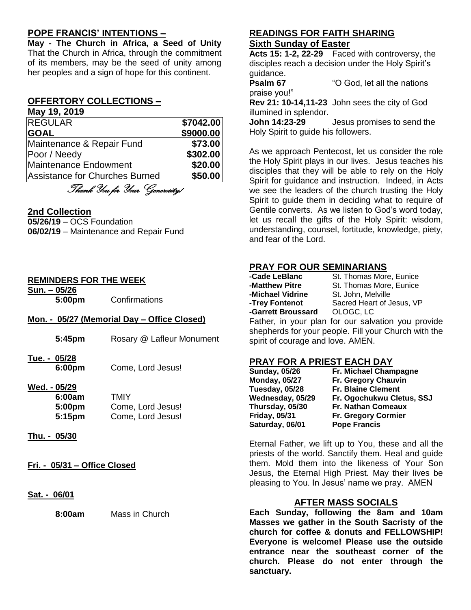## **POPE FRANCIS' INTENTIONS –**

**May - The Church in Africa, a Seed of Unity** That the Church in Africa, through the commitment of its members, may be the seed of unity among her peoples and a sign of hope for this continent.

## **OFFERTORY COLLECTIONS –**

| May 19, 2019                   |           |
|--------------------------------|-----------|
| <b>REGULAR</b>                 | \$7042.00 |
| <b>GOAL</b>                    | \$9000.00 |
| Maintenance & Repair Fund      | \$73.00   |
| Poor / Needy                   | \$302.00  |
| Maintenance Endowment          | \$20.00   |
| Assistance for Churches Burned | \$50.00   |

Thank You for Your Generosity!

#### **2nd Collection**

**05/26/19** – OCS Foundation **06/02/19** – Maintenance and Repair Fund

#### **REMINDERS FOR THE WEEK**

**Sun. – 05/26 5:00pm** Confirmations

#### **Mon. - 05/27 (Memorial Day – Office Closed)**

- **5:45pm** Rosary @ Lafleur Monument **Tue. - 05/28 6:00pm** Come, Lord Jesus! **Wed. - 05/29 6:00am** TMIY **5:00pm** Come, Lord Jesus! **5:15pm** Come, Lord Jesus!
- **Thu. - 05/30**
- **Fri. - 05/31 – Office Closed**
- **Sat. - 06/01**

**8:00am** Mass in Church

### **READINGS FOR FAITH SHARING Sixth Sunday of Easter**

**Acts 15: 1-2, 22-29** Faced with controversy, the disciples reach a decision under the Holy Spirit's guidance.

**Psalm 67** "O God, let all the nations praise you!" **Rev 21: 10-14,11-23** John sees the city of God illumined in splendor.

**John 14:23-29** Jesus promises to send the Holy Spirit to guide his followers.

As we approach Pentecost, let us consider the role the Holy Spirit plays in our lives. Jesus teaches his disciples that they will be able to rely on the Holy Spirit for guidance and instruction. Indeed, in Acts we see the leaders of the church trusting the Holy Spirit to guide them in deciding what to require of Gentile converts. As we listen to God's word today, let us recall the gifts of the Holy Spirit: wisdom, understanding, counsel, fortitude, knowledge, piety, and fear of the Lord.

## **PRAY FOR OUR SEMINARIANS**

| -Cade LeBlanc      | St. Thomas More, Eunice                            |
|--------------------|----------------------------------------------------|
| -Matthew Pitre     | St. Thomas More, Eunice                            |
| -Michael Vidrine   | St. John, Melville                                 |
| -Trey Fontenot     | Sacred Heart of Jesus, VP                          |
| -Garrett Broussard | OLOGC. LC                                          |
|                    | Father, in your plan for our salvation you provide |

shepherds for your people. Fill your Church with the spirit of courage and love. AMEN.

## **PRAY FOR A PRIEST EACH DAY**

| <b>Sunday, 05/26</b> | Fr. Michael Champagne     |
|----------------------|---------------------------|
| <b>Monday, 05/27</b> | Fr. Gregory Chauvin       |
| Tuesday, 05/28       | <b>Fr. Blaine Clement</b> |
| Wednesday, 05/29     | Fr. Ogochukwu Cletus, SSJ |
| Thursday, 05/30      | Fr. Nathan Comeaux        |
| <b>Friday, 05/31</b> | Fr. Gregory Cormier       |
| Saturday, 06/01      | <b>Pope Francis</b>       |

Eternal Father, we lift up to You, these and all the priests of the world. Sanctify them. Heal and guide them. Mold them into the likeness of Your Son Jesus, the Eternal High Priest. May their lives be pleasing to You. In Jesus' name we pray. AMEN

#### **AFTER MASS SOCIALS**

**Each Sunday, following the 8am and 10am Masses we gather in the South Sacristy of the church for coffee & donuts and FELLOWSHIP! Everyone is welcome! Please use the outside entrance near the southeast corner of the church. Please do not enter through the sanctuary.**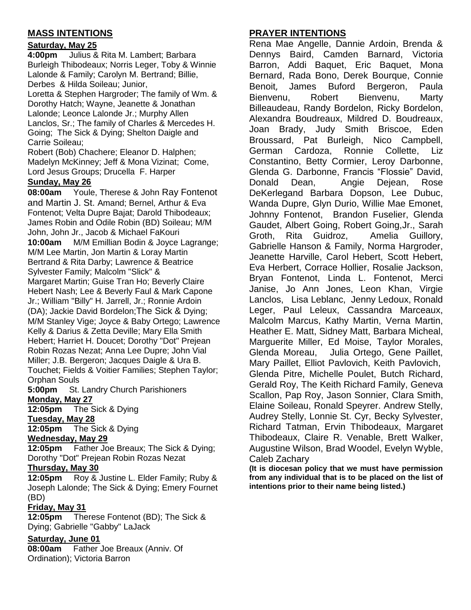## **MASS INTENTIONS**

## **Saturday, May 25**

**4:00pm** Julius & Rita M. Lambert; Barbara Burleigh Thibodeaux; Norris Leger, Toby & Winnie Lalonde & Family; Carolyn M. Bertrand; Billie, Derbes & Hilda Soileau; Junior,

Loretta & Stephen Hargroder; The family of Wm. & Dorothy Hatch; Wayne, Jeanette & Jonathan Lalonde; Leonce Lalonde Jr.; Murphy Allen Lanclos, Sr.; The family of Charles & Mercedes H. Going; The Sick & Dying; Shelton Daigle and Carrie Soileau;

Robert (Bob) Chachere; Eleanor D. Halphen; Madelyn McKinney; Jeff & Mona Vizinat; Come, Lord Jesus Groups; Drucella F. Harper

### **Sunday, May 26**

**08:00am** Youle, Therese & John Ray Fontenot and Martin J. St. Amand; Bernel, Arthur & Eva Fontenot; Velta Dupre Bajat; Darold Thibodeaux; James Robin and Odile Robin (BD) Soileau; M/M John, John Jr., Jacob & Michael FaKouri **10:00am** M/M Emillian Bodin & Joyce Lagrange; M/M Lee Martin, Jon Martin & Loray Martin Bertrand & Rita Darby; Lawrence & Beatrice Sylvester Family; Malcolm "Slick" & Margaret Martin; Guise Tran Ho; Beverly Claire Hebert Nash; Lee & Beverly Faul & Mark Capone Jr.; William "Billy" H. Jarrell, Jr.; Ronnie Ardoin (DA); Jackie David Bordelon;The Sick & Dying; M/M Stanley Vige; Joyce & Baby Ortego; Lawrence Kelly & Darius & Zetta Deville; Mary Ella Smith Hebert; Harriet H. Doucet; Dorothy "Dot" Prejean Robin Rozas Nezat; Anna Lee Dupre; John Vial Miller; J.B. Bergeron; Jacques Daigle & Ura B. Touchet; Fields & Voitier Families; Stephen Taylor; Orphan Souls

**5:00pm** St. Landry Church Parishioners **Monday, May 27**

**12:05pm** The Sick & Dying **Tuesday, May 28**

**12:05pm** The Sick & Dying

## **Wednesday, May 29**

**12:05pm** Father Joe Breaux; The Sick & Dying; Dorothy "Dot" Prejean Robin Rozas Nezat

#### **Thursday, May 30**

**12:05pm** Roy & Justine L. Elder Family; Ruby & Joseph Lalonde; The Sick & Dying; Emery Fournet (BD)

#### **Friday, May 31**

**12:05pm** Therese Fontenot (BD); The Sick & Dying; Gabrielle "Gabby" LaJack

#### **Saturday, June 01**

**08:00am** Father Joe Breaux (Anniv. Of Ordination); Victoria Barron

## **PRAYER INTENTIONS**

Rena Mae Angelle, Dannie Ardoin, Brenda & Dennys Baird, Camden Barnard, Victoria Barron, Addi Baquet, Eric Baquet, Mona Bernard, Rada Bono, Derek Bourque, Connie Benoit, James Buford Bergeron, Paula Bienvenu, Robert Bienvenu, Marty Billeaudeau, Randy Bordelon, Ricky Bordelon, Alexandra Boudreaux, Mildred D. Boudreaux, Joan Brady, Judy Smith Briscoe, Eden Broussard, Pat Burleigh, Nico Campbell, German Cardoza, Ronnie Collette, Liz Constantino, Betty Cormier, Leroy Darbonne, Glenda G. Darbonne, Francis "Flossie" David, Donald Dean, Angie Dejean, Rose DeKerlegand Barbara Dopson, Lee Dubuc, Wanda Dupre, Glyn Durio, Willie Mae Emonet, Johnny Fontenot, Brandon Fuselier, Glenda Gaudet, Albert Going, Robert Going,Jr., Sarah Groth, Rita Guidroz, Amelia Guillory, Gabrielle Hanson & Family, Norma Hargroder, Jeanette Harville, Carol Hebert, Scott Hebert, Eva Herbert, Corrace Hollier, Rosalie Jackson, Bryan Fontenot, Linda L. Fontenot, Merci Janise, Jo Ann Jones, Leon Khan, Virgie Lanclos, Lisa Leblanc, Jenny Ledoux, Ronald Leger, Paul Leleux, Cassandra Marceaux, Malcolm Marcus, Kathy Martin, Verna Martin, Heather E. Matt, Sidney Matt, Barbara Micheal, Marguerite Miller, Ed Moise, Taylor Morales, Glenda Moreau, Julia Ortego, Gene Paillet, Mary Paillet, Elliot Pavlovich, Keith Pavlovich, Glenda Pitre, Michelle Poulet, Butch Richard, Gerald Roy, The Keith Richard Family, Geneva Scallon, Pap Roy, Jason Sonnier, Clara Smith, Elaine Soileau, Ronald Speyrer. Andrew Stelly, Audrey Stelly, Lonnie St. Cyr, Becky Sylvester, Richard Tatman, Ervin Thibodeaux, Margaret Thibodeaux, Claire R. Venable, Brett Walker, Augustine Wilson, Brad Woodel, Evelyn Wyble, Caleb Zachary

**(It is diocesan policy that we must have permission from any individual that is to be placed on the list of intentions prior to their name being listed.)**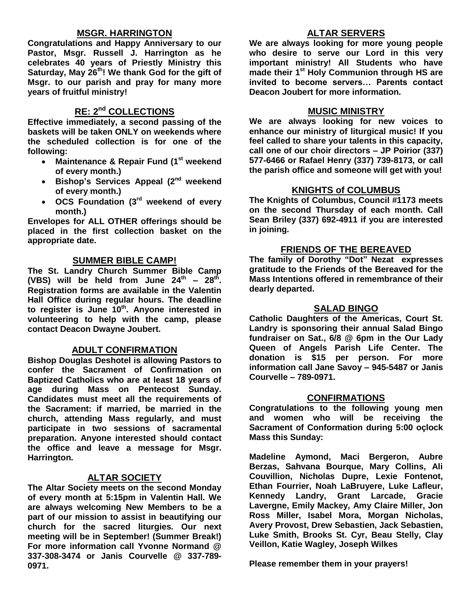## **MSGR. HARRINGTON**

**Congratulations and Happy Anniversary to our Pastor, Msgr. Russell J. Harrington as he celebrates 40 years of Priestly Ministry this Saturday, May 26th! We thank God for the gift of Msgr. to our parish and pray for many more years of fruitful ministry!**

## **RE: 2nd COLLECTIONS**

**Effective immediately, a second passing of the baskets will be taken ONLY on weekends where the scheduled collection is for one of the following:**

- **Maintenance & Repair Fund (1st weekend of every month.)**
- **Bishop's Services Appeal (2nd weekend of every month.)**
- **OCS Foundation (3rd weekend of every month.)**

**Envelopes for ALL OTHER offerings should be placed in the first collection basket on the appropriate date.**

## **SUMMER BIBLE CAMP!**

**The St. Landry Church Summer Bible Camp**  (VBS) will be held from June  $24^{th}$  –  $28^{th}$ . **Registration forms are available in the Valentin Hall Office during regular hours. The deadline to register is June 10th . Anyone interested in volunteering to help with the camp, please contact Deacon Dwayne Joubert.** 

## **ADULT CONFIRMATION**

**Bishop Douglas Deshotel is allowing Pastors to confer the Sacrament of Confirmation on Baptized Catholics who are at least 18 years of age during Mass on Pentecost Sunday. Candidates must meet all the requirements of the Sacrament: if married, be married in the church, attending Mass regularly, and must participate in two sessions of sacramental preparation. Anyone interested should contact the office and leave a message for Msgr. Harrington.** 

## **ALTAR SOCIETY**

**The Altar Society meets on the second Monday of every month at 5:15pm in Valentin Hall. We are always welcoming New Members to be a part of our mission to assist in beautifying our church for the sacred liturgies. Our next meeting will be in September! (Summer Break!) For more information call Yvonne Normand @ 337-308-3474 or Janis Courvelle @ 337-789- 0971.** 

## **ALTAR SERVERS**

**We are always looking for more young people who desire to serve our Lord in this very important ministry! All Students who have made their 1st Holy Communion through HS are invited to become servers… Parents contact Deacon Joubert for more information.**

## **MUSIC MINISTRY**

**We are always looking for new voices to enhance our ministry of liturgical music! If you feel called to share your talents in this capacity, call one of our choir directors – JP Poirior (337) 577-6466 or Rafael Henry (337) 739-8173, or call the parish office and someone will get with you!**

## **KNIGHTS of COLUMBUS**

**The Knights of Columbus, Council #1173 meets on the second Thursday of each month. Call Sean Briley (337) 692-4911 if you are interested in joining.** 

### **FRIENDS OF THE BEREAVED**

**The family of Dorothy "Dot" Nezat expresses gratitude to the Friends of the Bereaved for the Mass Intentions offered in remembrance of their dearly departed.**

#### **SALAD BINGO**

**Catholic Daughters of the Americas, Court St. Landry is sponsoring their annual Salad Bingo fundraiser on Sat., 6/8 @ 6pm in the Our Lady Queen of Angels Parish Life Center. The donation is \$15 per person. For more information call Jane Savoy – 945-5487 or Janis Courvelle – 789-0971.** 

#### **CONFIRMATIONS**

**Congratulations to the following young men and women who will be receiving the Sacrament of Conformation during 5:00 oçlock Mass this Sunday:**

**Madeline Aymond, Maci Bergeron, Aubre Berzas, Sahvana Bourque, Mary Collins, Ali Couvillion, Nicholas Dupre, Lexie Fontenot, Ethan Fourrier, Noah LaBruyere, Luke Lafleur, Kennedy Landry, Grant Larcade, Gracie Lavergne, Emily Mackey, Amy Claire Miller, Jon Ross Miller, Isabel Mora, Morgan Nicholas, Avery Provost, Drew Sebastien, Jack Sebastien, Luke Smith, Brooks St. Cyr, Beau Stelly, Clay Veillon, Katie Wagley, Joseph Wilkes**

**Please remember them in your prayers!**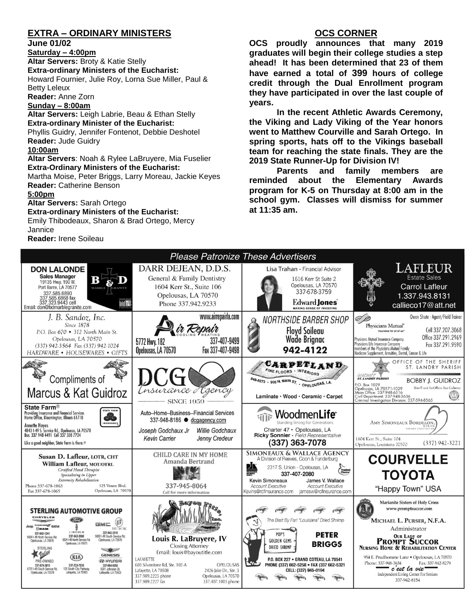## **EXTRA – ORDINARY MINISTERS**

**June 01/02**

#### **Saturday – 4:00pm**

**Altar Servers:** Broty & Katie Stelly **Extra-ordinary Ministers of the Eucharist:**  Howard Fournier, Julie Roy, Lorna Sue Miller, Paul & Betty Leleux

**Reader:** Anne Zorn

#### **Sunday – 8:00am**

**Altar Servers:** Leigh Labrie, Beau & Ethan Stelly **Extra-ordinary Minister of the Eucharist:** Phyllis Guidry, Jennifer Fontenot, Debbie Deshotel **Reader:** Jude Guidry

#### **10:00am**

**Altar Servers**: Noah & Rylee LaBruyere, Mia Fuselier **Extra-Ordinary Ministers of the Eucharist:**

Martha Moise, Peter Briggs, Larry Moreau, Jackie Keyes **Reader:** Catherine Benson

#### **5:00pm**

**Altar Servers:** Sarah Ortego **Extra-ordinary Ministers of the Eucharist:**

Emily Thibodeaux, Sharon & Brad Ortego, Mercy **Jannice Reader:** Irene Soileau

## **OCS CORNER**

**OCS proudly announces that many 2019 graduates will begin their college studies a step ahead! It has been determined that 23 of them have earned a total of 399 hours of college credit through the Dual Enrollment program they have participated in over the last couple of years.** 

**In the recent Athletic Awards Ceremony, the Viking and Lady Viking of the Year honors went to Matthew Courville and Sarah Ortego. In spring sports, hats off to the Vikings baseball team for reaching the state finals. They are the 2019 State Runner-Up for Division IV!**

**Parents and family members are reminded about the Elementary Awards program for K-5 on Thursday at 8:00 am in the school gym. Classes will dismiss for summer at 11:35 am.**